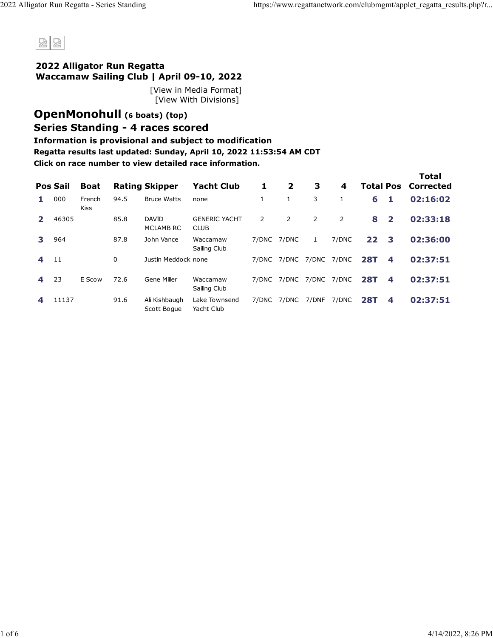

#### **2022 Alligator Run Regatta Waccamaw Sailing Club | April 09-10, 2022**

[\[View in Media Format\]](https://www.regattanetwork.com/clubmgmt/applet_regatta_results.php?regatta_id=23767&media_format=1) [\[View With Divisions\]](https://www.regattanetwork.com/clubmgmt/applet_regatta_results.php?regatta_id=23767&show_divisions=1)

### **[OpenMonohull](https://www.regattanetwork.com/clubmgmt/applet_regatta_results.php?regatta_id=23767&limit_fleet=OpenMonohull) (6 boats) [\(top\)](https://www.regattanetwork.com/clubmgmt/applet_regatta_results.php?regatta_id=23767#top) Series Standing - 4 races scored**

### **Information is provisional and subject to modification**

**Regatta results last updated: Sunday, April 10, 2022 11:53:54 AM CDT**

|              | <b>Pos Sail</b> | <b>Boat</b>           |      | <b>Rating Skipper</b>            | <b>Yacht Club</b>                   | 1     | $\overline{2}$ | 3              | 4     |            |                | <b>Total</b><br><b>Total Pos Corrected</b> |
|--------------|-----------------|-----------------------|------|----------------------------------|-------------------------------------|-------|----------------|----------------|-------|------------|----------------|--------------------------------------------|
| л.           | 000             | French<br><b>Kiss</b> | 94.5 | <b>Bruce Watts</b>               | none                                |       | 1              | 3              |       | 6          | 1              | 02:16:02                                   |
| $\mathbf{2}$ | 46305           |                       | 85.8 | <b>DAVID</b><br><b>MCLAMB RC</b> | <b>GENERIC YACHT</b><br><b>CLUB</b> | 2     | 2              | $\overline{2}$ | 2     | 8          | $\overline{2}$ | 02:33:18                                   |
| 3            | 964             |                       | 87.8 | John Vance                       | Waccamaw<br>Sailing Club            |       | 7/DNC 7/DNC    | 1              | 7/DNC | 22         | 3              | 02:36:00                                   |
| 4            | 11              |                       | 0    | Justin Meddock none              |                                     | 7/DNC | 7/DNC          | 7/DNC          | 7/DNC | <b>28T</b> | 4              | 02:37:51                                   |
| 4            | 23              | E Scow                | 72.6 | Gene Miller                      | Waccamaw<br>Sailing Club            |       | 7/DNC 7/DNC    | 7/DNC 7/DNC    |       | <b>28T</b> | 4              | 02:37:51                                   |
| 4            | 11137           |                       | 91.6 | Ali Kishbaugh<br>Scott Boque     | Lake Townsend<br>Yacht Club         | 7/DNC | 7/DNC          | 7/DNF          | 7/DNC | <b>28T</b> | 4              | 02:37:51                                   |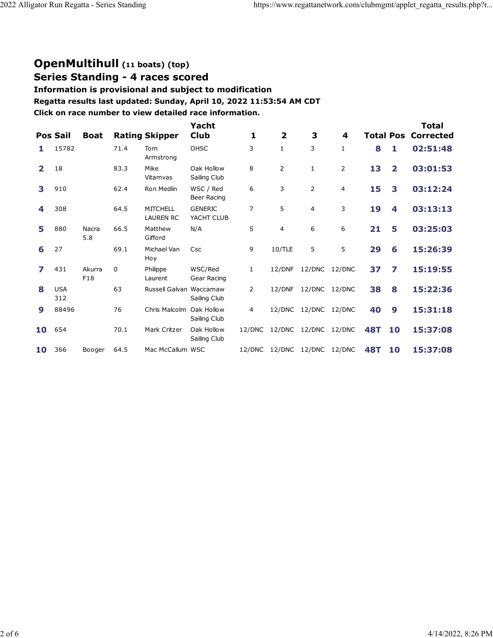### **[OpenMultihull](https://www.regattanetwork.com/clubmgmt/applet_regatta_results.php?regatta_id=23767&limit_fleet=OpenMultihull) (11 boats) [\(top\)](https://www.regattanetwork.com/clubmgmt/applet_regatta_results.php?regatta_id=23767#top)**

**Series Standing - 4 races scored**

#### **Information is provisional and subject to modification**

**Regatta results last updated: Sunday, April 10, 2022 11:53:54 AM CDT**

|                | <b>Pos Sail</b>   | <b>Boat</b>   |          | <b>Rating Skipper</b>               | Yacht<br><b>Club</b>         | 1            | $\overline{\mathbf{2}}$ | 3              | 4      | <b>Total Pos</b> |                         | Total<br>Corrected |
|----------------|-------------------|---------------|----------|-------------------------------------|------------------------------|--------------|-------------------------|----------------|--------|------------------|-------------------------|--------------------|
|                | 15782             |               | 71.4     | Tom<br>Armstrong                    | OHSC                         | 3            | 1                       | 3              | 1      | 8                | 1                       | 02:51:48           |
| $\overline{2}$ | 18                |               | 83.3     | Mike<br>Vitamvas                    | Oak Hollow<br>Sailing Club   | 8            | $\overline{2}$          | $\mathbf{1}$   | 2      | 13               | $\overline{\mathbf{2}}$ | 03:01:53           |
| 3              | 910               |               | 62.4     | Ron Medlin                          | WSC / Red<br>Beer Racing     | 6            | 3                       | $\overline{2}$ | 4      | 15               | 3                       | 03:12:24           |
|                | 308               |               | 64.5     | <b>MITCHELL</b><br><b>LAUREN RC</b> | <b>GENERIC</b><br>YACHT CLUB | 7            | 5                       | $\overline{4}$ | 3      | 19               | 4                       | 03:13:13           |
| 5              | 880               | Nacra<br>5.8  | 66.5     | Matthew<br>Gifford                  | N/A                          | 5            | 4                       | 6              | 6      | 21               | 5                       | 03:25:03           |
| 6              | 27                |               | 69.1     | Michael Van<br>Hoy                  | Csc                          | 9            | 10/TLE                  | 5              | 5      | 29               | 6                       | 15:26:39           |
| 7              | 431               | Akurra<br>F18 | $\Omega$ | Philippe<br>Laurent                 | WSC/Red<br>Gear Racing       | $\mathbf{1}$ | 12/DNF                  | 12/DNC         | 12/DNC | 37               | 7                       | 15:19:55           |
| 8              | <b>USA</b><br>312 |               | 63       | Russell Galvan Waccamaw             | Sailing Club                 | 2            | 12/DNF                  | 12/DNC         | 12/DNC | 38               | 8                       | 15:22:36           |
| 9              | 88496             |               | 76       | Chris Malcolm                       | Oak Hollow<br>Sailing Club   | 4            | 12/DNC                  | 12/DNC         | 12/DNC | 40               | 9                       | 15:31:18           |
| 10             | 654               |               | 70.1     | Mark Critzer                        | Oak Hollow<br>Sailing Club   | 12/DNC       | 12/DNC                  | 12/DNC         | 12/DNC | <b>48T</b>       | 10                      | 15:37:08           |
| 10             | 366               | Booger        | 64.5     | Mac McCallum WSC                    |                              | 12/DNC       | 12/DNC                  | 12/DNC         | 12/DNC | <b>48T</b>       | 10                      | 15:37:08           |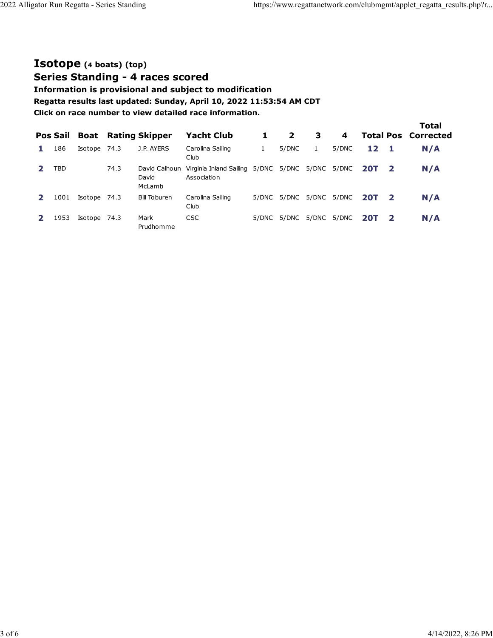## **[Isotope](https://www.regattanetwork.com/clubmgmt/applet_regatta_results.php?regatta_id=23767&limit_fleet=Isotope) (4 boats) [\(top\)](https://www.regattanetwork.com/clubmgmt/applet_regatta_results.php?regatta_id=23767#top)**

**Series Standing - 4 races scored**

**Information is provisional and subject to modification**

**Regatta results last updated: Sunday, April 10, 2022 11:53:54 AM CDT**

| Pos Sail |              |      | <b>Boat</b> Rating Skipper       | <b>Yacht Club</b>                      | 1            | $\mathbf{2}$            | 3                 | 4     |            |              | <b>Total</b><br><b>Total Pos Corrected</b> |
|----------|--------------|------|----------------------------------|----------------------------------------|--------------|-------------------------|-------------------|-------|------------|--------------|--------------------------------------------|
| 186      | Isotope 74.3 |      | J.P. AYERS                       | Carolina Sailing<br>Club               | $\mathbf{1}$ | 5/DNC                   | 1                 | 5/DNC | 12         | -1           | N/A                                        |
| TBD      |              | 74.3 | David Calhoun<br>David<br>McLamb | Virginia Inland Sailing<br>Association |              | 5/DNC 5/DNC 5/DNC 5/DNC |                   |       | <b>20T</b> | - 2          | N/A                                        |
| 1001     | Isotope 74.3 |      | <b>Bill Toburen</b>              | Carolina Sailing<br>Club               | 5/DNC        |                         | 5/DNC 5/DNC 5/DNC |       | <b>20T</b> | $\mathbf{2}$ | N/A                                        |
| 1953     | Isotope 74.3 |      | Mark<br>Prudhomme                | <b>CSC</b>                             | 5/DNC        | 5/DNC                   | 5/DNC             | 5/DNC | <b>20T</b> | -2           | N/A                                        |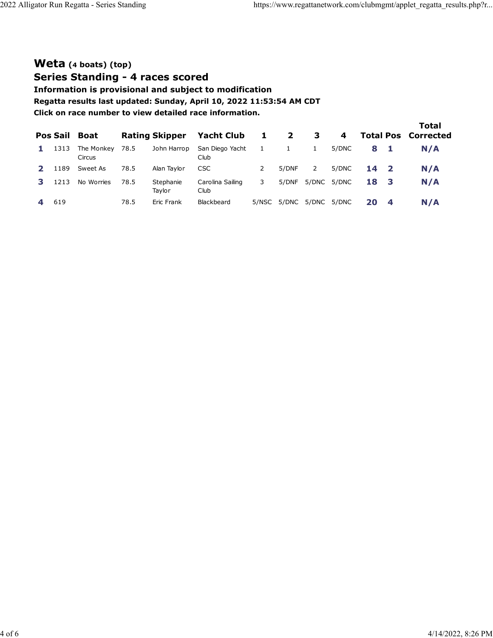# **[Weta](https://www.regattanetwork.com/clubmgmt/applet_regatta_results.php?regatta_id=23767&limit_fleet=Weta) (4 boats) [\(top\)](https://www.regattanetwork.com/clubmgmt/applet_regatta_results.php?regatta_id=23767#top)**

**Series Standing - 4 races scored**

**Information is provisional and subject to modification**

**Regatta results last updated: Sunday, April 10, 2022 11:53:54 AM CDT**

| Pos Sail | Boat                 |      | <b>Rating Skipper</b> | <b>Yacht Club</b>        | $\mathbf{1}$ | $\mathbf{2}$ | 3     | 4           | <b>Total Pos</b> |              | Total<br>Corrected |
|----------|----------------------|------|-----------------------|--------------------------|--------------|--------------|-------|-------------|------------------|--------------|--------------------|
| 1313     | The Monkey<br>Circus | 78.5 | John Harrop           | San Diego Yacht<br>Club  | $\mathbf{1}$ |              | 1     | 5/DNC       | 8                |              | N/A                |
| 1189     | Sweet As             | 78.5 | Alan Taylor           | <b>CSC</b>               |              | 5/DNF        | 2     | 5/DNC       | 14               | $\mathbf{2}$ | N/A                |
| 1213     | No Worries           | 78.5 | Stephanie<br>Tavlor   | Carolina Sailing<br>Club | 3            | 5/DNF        | 5/DNC | 5/DNC       | 18               | - 3          | N/A                |
| 619      |                      | 78.5 | Eric Frank            | Blackbeard               | 5/NSC        | 5/DNC        |       | 5/DNC 5/DNC | 20               | 4            | N/A                |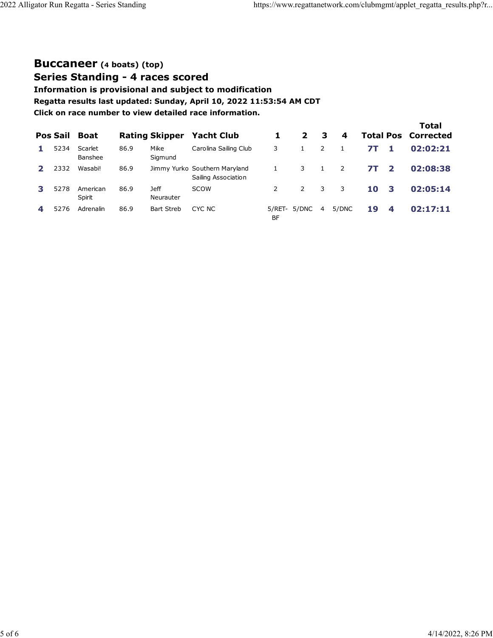## **[Buccaneer](https://www.regattanetwork.com/clubmgmt/applet_regatta_results.php?regatta_id=23767&limit_fleet=Buccaneer) (4 boats) [\(top\)](https://www.regattanetwork.com/clubmgmt/applet_regatta_results.php?regatta_id=23767#top)**

**Series Standing - 4 races scored**

**Information is provisional and subject to modification**

**Regatta results last updated: Sunday, April 10, 2022 11:53:54 AM CDT**

| <b>Pos Sail</b> | Boat               |      | <b>Rating Skipper</b>    | <b>Yacht Club</b>                                    |              | $\mathbf{2}$ | 3 | 4     |           |                | Total<br><b>Total Pos Corrected</b> |
|-----------------|--------------------|------|--------------------------|------------------------------------------------------|--------------|--------------|---|-------|-----------|----------------|-------------------------------------|
| 5234            | Scarlet<br>Banshee | 86.9 | Mike<br>Sigmund          | Carolina Sailing Club                                | 3            |              | 2 |       | 71        | 1              | 02:02:21                            |
| 2332            | Wasabi!            | 86.9 |                          | Jimmy Yurko Southern Maryland<br>Sailing Association |              | 3            |   | 2     | <b>7T</b> | $\overline{2}$ | 02:08:38                            |
| 5278            | American<br>Spirit | 86.9 | <b>Jeff</b><br>Neurauter | SCOW                                                 | 2            | 2            | 3 | 3     | 10        | 3              | 02:05:14                            |
| 5276            | Adrenalin          | 86.9 | <b>Bart Streb</b>        | CYC NC                                               | 5/RET-<br>BF | 5/DNC        | 4 | 5/DNC | 19        | 4              | 02:17:11                            |